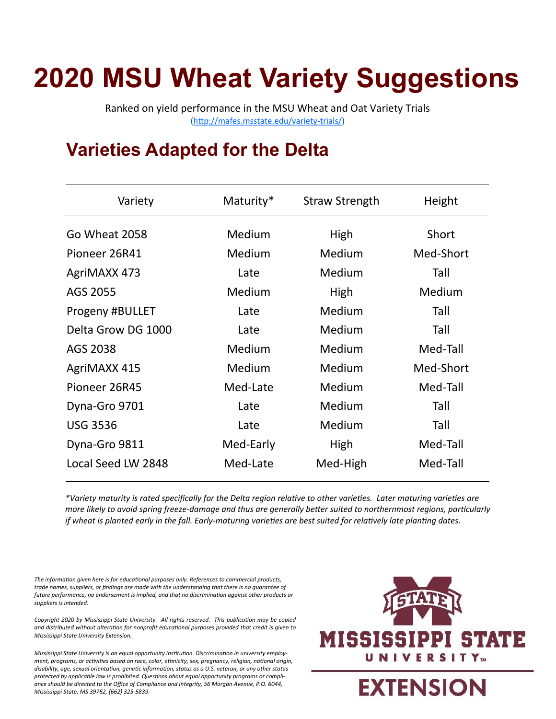# **2020 MSU Wheat Variety Suggestions**

Ranked on yield performance in the MSU Wheat and Oat Variety Trials ([http://mafes.msstate.edu/variety](http://mafes.msstate.edu/variety-trials/)-trials/)

#### **Varieties Adapted for the Delta**

| Variety            | Maturity* | <b>Straw Strength</b> | Height    |
|--------------------|-----------|-----------------------|-----------|
| Go Wheat 2058      | Medium    | High                  | Short     |
| Pioneer 26R41      | Medium    | Medium                | Med-Short |
| AgriMAXX 473       | Late      | Medium                | Tall      |
| AGS 2055           | Medium    | High                  | Medium    |
| Progeny #BULLET    | Late      | Medium                | Tall      |
| Delta Grow DG 1000 | Late      | Medium                | Tall      |
| AGS 2038           | Medium    | Medium                | Med-Tall  |
| AgriMAXX 415       | Medium    | Medium                | Med-Short |
| Pioneer 26R45      | Med-Late  | Medium                | Med-Tall  |
| Dyna-Gro 9701      | Late      | Medium                | Tall      |
| <b>USG 3536</b>    | Late      | Medium                | Tall      |
| Dyna-Gro 9811      | Med-Early | High                  | Med-Tall  |
| Local Seed LW 2848 | Med-Late  | Med-High              | Med-Tall  |
|                    |           |                       |           |

*\*Variety maturity is rated specifically for the Delta region relative to other varieties. Later maturing varieties are more likely to avoid spring freeze-damage and thus are generally better suited to northernmost regions, particularly if wheat is planted early in the fall. Early-maturing varieties are best suited for relatively late planting dates.*

*The information given here is for educational purposes only. References to commercial products, trade names, suppliers, or findings are made with the understanding that there is no guarantee of future performance, no endorsement is implied, and that no discrimination against other products or suppliers is intended.*

*Copyright 2020 by Mississippi State University. All rights reserved. This publication may be copied and distributed without alteration for nonprofit educational purposes provided that credit is given to Mississippi State University Extension.*

*Mississippi State University is an equal opportunity institution. Discrimination in university employment, programs, or activities based on race, color, ethnicity, sex, pregnancy, religion, national origin, disability, age, sexual orientation, genetic information, status as a U.S. veteran, or any other status protected by applicable law is prohibited. Questions about equal opportunity programs or compliance should be directed to the Office of Compliance and Integrity, 56 Morgan Avenue, P.O. 6044, Mississippi State, MS 39762, (662) 325-5839.*

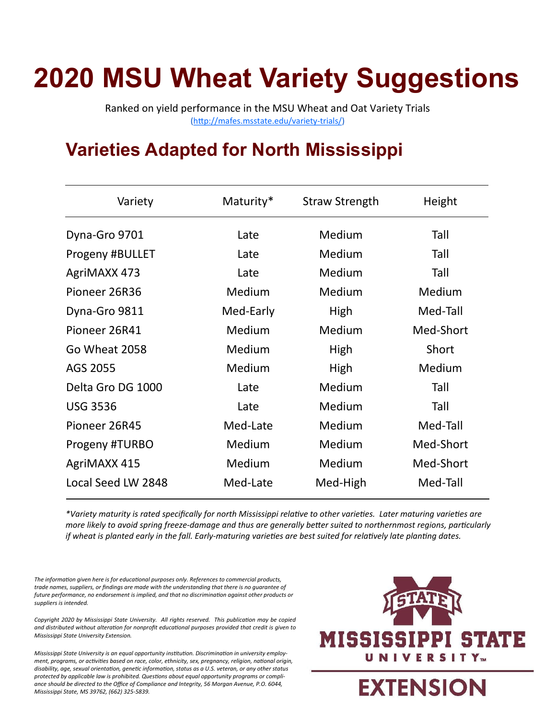# **2020 MSU Wheat Variety Suggestions**

Ranked on yield performance in the MSU Wheat and Oat Variety Trials ([http://mafes.msstate.edu/variety](http://mafes.msstate.edu/variety-trials/)-trials/)

### **Varieties Adapted for North Mississippi**

| Variety            | Maturity* | <b>Straw Strength</b> | Height    |
|--------------------|-----------|-----------------------|-----------|
| Dyna-Gro 9701      | Late      | Medium                | Tall      |
| Progeny #BULLET    | Late      | Medium                | Tall      |
| AgriMAXX 473       | Late      | Medium                | Tall      |
| Pioneer 26R36      | Medium    | Medium                | Medium    |
| Dyna-Gro 9811      | Med-Early | High                  | Med-Tall  |
| Pioneer 26R41      | Medium    | Medium                | Med-Short |
| Go Wheat 2058      | Medium    | High                  | Short     |
| AGS 2055           | Medium    | High                  | Medium    |
| Delta Gro DG 1000  | Late      | Medium                | Tall      |
| <b>USG 3536</b>    | Late      | Medium                | Tall      |
| Pioneer 26R45      | Med-Late  | Medium                | Med-Tall  |
| Progeny #TURBO     | Medium    | Medium                | Med-Short |
| AgriMAXX 415       | Medium    | Medium                | Med-Short |
| Local Seed LW 2848 | Med-Late  | Med-High              | Med-Tall  |
|                    |           |                       |           |

*\*Variety maturity is rated specifically for north Mississippi relative to other varieties. Later maturing varieties are more likely to avoid spring freeze-damage and thus are generally better suited to northernmost regions, particularly if wheat is planted early in the fall. Early-maturing varieties are best suited for relatively late planting dates.*

*The information given here is for educational purposes only. References to commercial products, trade names, suppliers, or findings are made with the understanding that there is no guarantee of future performance, no endorsement is implied, and that no discrimination against other products or suppliers is intended.*

*Copyright 2020 by Mississippi State University. All rights reserved. This publication may be copied and distributed without alteration for nonprofit educational purposes provided that credit is given to Mississippi State University Extension.*

*Mississippi State University is an equal opportunity institution. Discrimination in university employment, programs, or activities based on race, color, ethnicity, sex, pregnancy, religion, national origin, disability, age, sexual orientation, genetic information, status as a U.S. veteran, or any other status protected by applicable law is prohibited. Questions about equal opportunity programs or compliance should be directed to the Office of Compliance and Integrity, 56 Morgan Avenue, P.O. 6044, Mississippi State, MS 39762, (662) 325-5839.*



**EXTENSION**